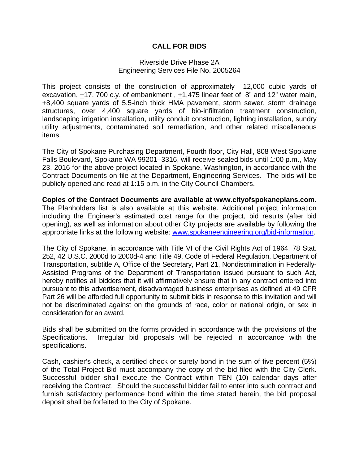## **CALL FOR BIDS**

## Riverside Drive Phase 2A Engineering Services File No. 2005264

This project consists of the construction of approximately 12,000 cubic yards of excavation,  $\pm$ 17, 700 c.y. of embankment,  $\pm$ 1,475 linear feet of 8" and 12" water main, +8,400 square yards of 5.5-inch thick HMA pavement, storm sewer, storm drainage structures, over 4,400 square yards of bio-infiltration treatment construction, landscaping irrigation installation, utility conduit construction, lighting installation, sundry utility adjustments, contaminated soil remediation, and other related miscellaneous items.

The City of Spokane Purchasing Department, Fourth floor, City Hall, 808 West Spokane Falls Boulevard, Spokane WA 99201–3316, will receive sealed bids until 1:00 p.m., May 23, 2016 for the above project located in Spokane, Washington, in accordance with the Contract Documents on file at the Department, Engineering Services. The bids will be publicly opened and read at 1:15 p.m. in the City Council Chambers.

**Copies of the Contract Documents are available at www.cityofspokaneplans.com**. The Planholders list is also available at this website. Additional project information including the Engineer's estimated cost range for the project, bid results (after bid opening), as well as information about other City projects are available by following the appropriate links at the following website: www.spokaneengineering.org/bid-information.

The City of Spokane, in accordance with Title VI of the Civil Rights Act of 1964, 78 Stat. 252, 42 U.S.C. 2000d to 2000d-4 and Title 49, Code of Federal Regulation, Department of Transportation, subtitle A, Office of the Secretary, Part 21, Nondiscrimination in Federally-Assisted Programs of the Department of Transportation issued pursuant to such Act, hereby notifies all bidders that it will affirmatively ensure that in any contract entered into pursuant to this advertisement, disadvantaged business enterprises as defined at 49 CFR Part 26 will be afforded full opportunity to submit bids in response to this invitation and will not be discriminated against on the grounds of race, color or national origin, or sex in consideration for an award.

Bids shall be submitted on the forms provided in accordance with the provisions of the Specifications. Irregular bid proposals will be rejected in accordance with the specifications.

Cash, cashier's check, a certified check or surety bond in the sum of five percent (5%) of the Total Project Bid must accompany the copy of the bid filed with the City Clerk. Successful bidder shall execute the Contract within TEN (10) calendar days after receiving the Contract. Should the successful bidder fail to enter into such contract and furnish satisfactory performance bond within the time stated herein, the bid proposal deposit shall be forfeited to the City of Spokane.